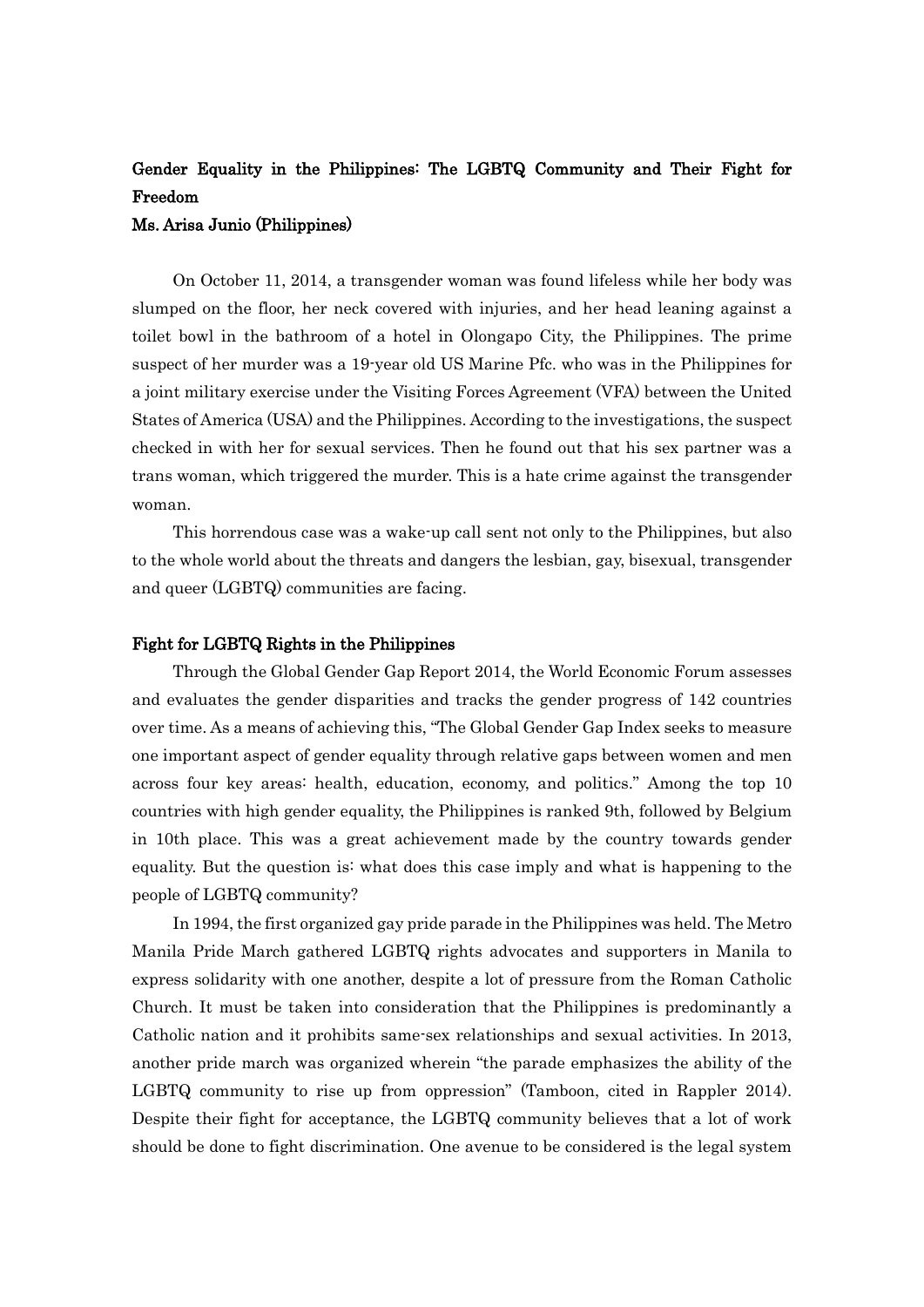# Gender Equality in the Philippines: The LGBTQ Community and Their Fight for Freedom

## Ms. Arisa Junio (Philippines)

On October 11, 2014, a transgender woman was found lifeless while her body was slumped on the floor, her neck covered with injuries, and her head leaning against a toilet bowl in the bathroom of a hotel in Olongapo City, the Philippines. The prime suspect of her murder was a 19-year old US Marine Pfc. who was in the Philippines for a joint military exercise under the Visiting Forces Agreement (VFA) between the United States of America (USA) and the Philippines. According to the investigations, the suspect checked in with her for sexual services. Then he found out that his sex partner was a trans woman, which triggered the murder. This is a hate crime against the transgender woman.

This horrendous case was a wake-up call sent not only to the Philippines, but also to the whole world about the threats and dangers the lesbian, gay, bisexual, transgender and queer (LGBTQ) communities are facing.

### Fight for LGBTQ Rights in the Philippines

Through the Global Gender Gap Report 2014, the World Economic Forum assesses and evaluates the gender disparities and tracks the gender progress of 142 countries over time. As a means of achieving this, "The Global Gender Gap Index seeks to measure one important aspect of gender equality through relative gaps between women and men across four key areas: health, education, economy, and politics." Among the top 10 countries with high gender equality, the Philippines is ranked 9th, followed by Belgium in 10th place. This was a great achievement made by the country towards gender equality. But the question is: what does this case imply and what is happening to the people of LGBTQ community?

In 1994, the first organized gay pride parade in the Philippines was held. The Metro Manila Pride March gathered LGBTQ rights advocates and supporters in Manila to express solidarity with one another, despite a lot of pressure from the Roman Catholic Church. It must be taken into consideration that the Philippines is predominantly a Catholic nation and it prohibits same-sex relationships and sexual activities. In 2013, another pride march was organized wherein "the parade emphasizes the ability of the LGBTQ community to rise up from oppression" (Tamboon, cited in Rappler 2014). Despite their fight for acceptance, the LGBTQ community believes that a lot of work should be done to fight discrimination. One avenue to be considered is the legal system